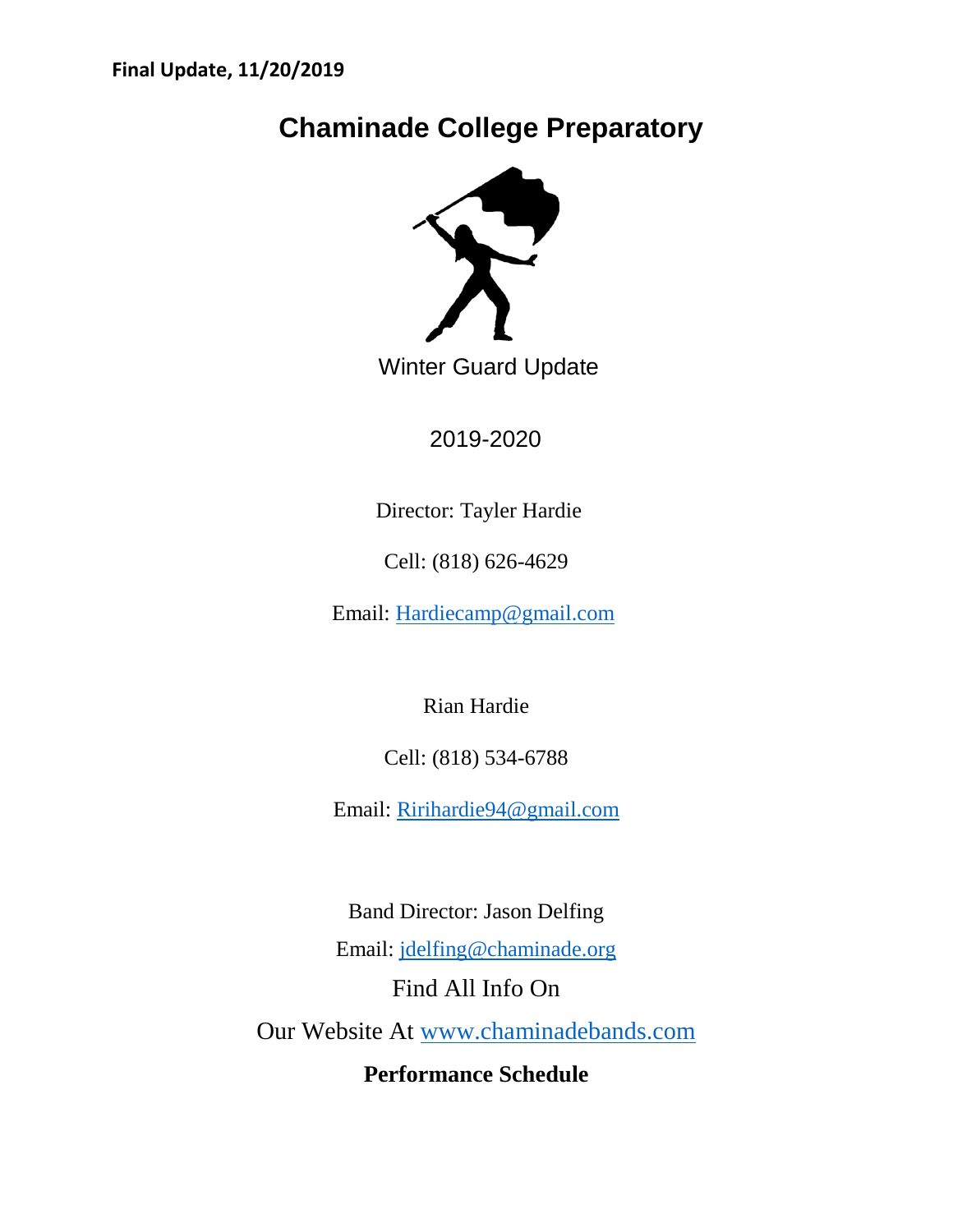# **Chaminade College Preparatory**



Winter Guard Update

2019-2020

Director: Tayler Hardie

Cell: (818) 626-4629

Email: [Hardiecamp@gmail.com](mailto:Hardiecamp@gmail.com)

Rian Hardie

Cell: (818) 534-6788

Email: [Ririhardie94@gmail.com](mailto:Ririhardie94@gmail.com)

Band Director: Jason Delfing Email: [jdelfing@chaminade.org](mailto:jdelfing@chaminade.org) Find All Info On Our Website At [www.chaminadebands.com](http://www.chaminadebands.com/) **Performance Schedule**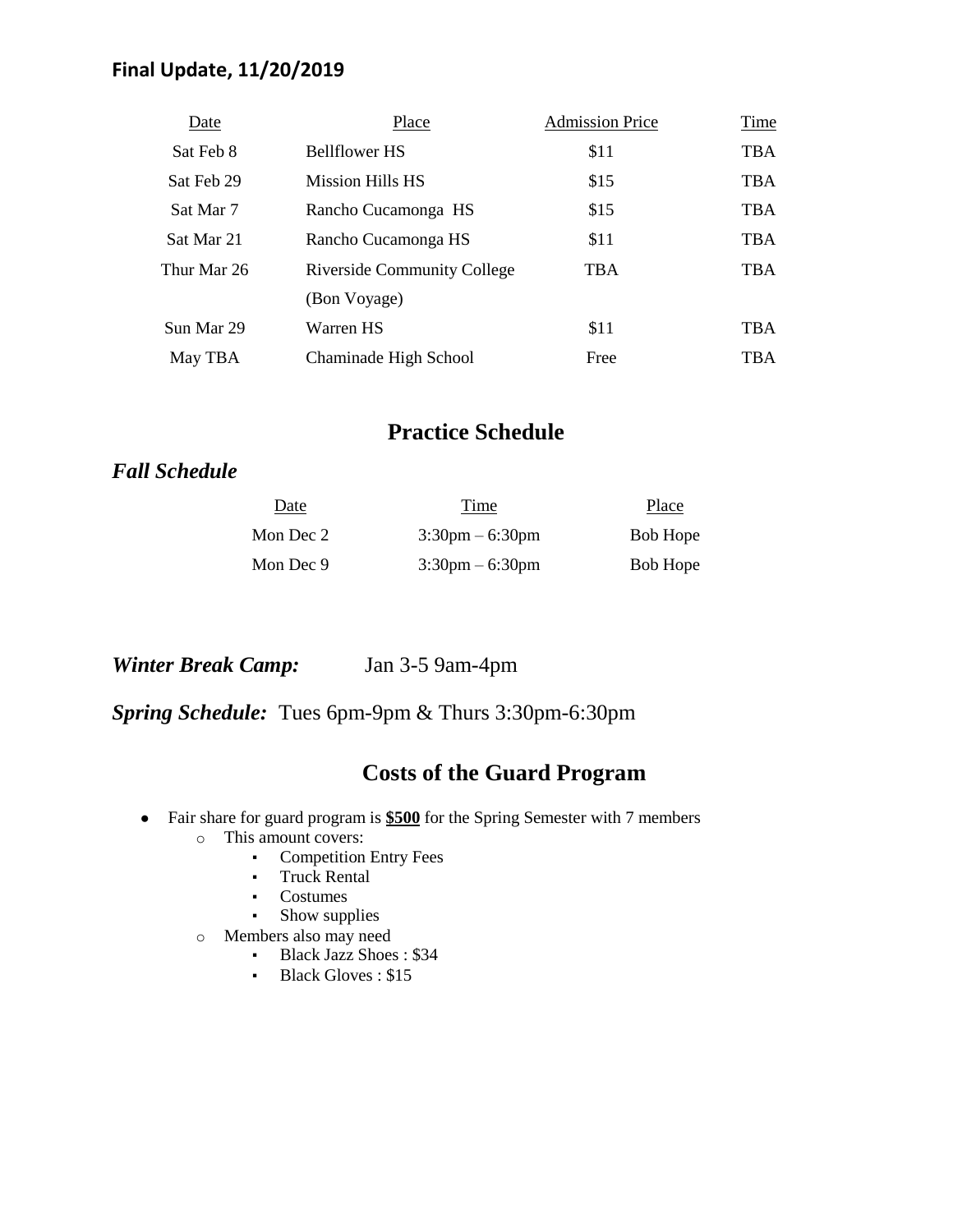## **Final Update, 11/20/2019**

| Date        | Place                              | <b>Admission Price</b> | Time       |
|-------------|------------------------------------|------------------------|------------|
| Sat Feb 8   | <b>Bellflower HS</b>               | \$11                   | <b>TBA</b> |
| Sat Feb 29  | <b>Mission Hills HS</b>            | \$15                   | <b>TBA</b> |
| Sat Mar 7   | Rancho Cucamonga HS                | \$15                   | <b>TBA</b> |
| Sat Mar 21  | Rancho Cucamonga HS                | \$11                   | <b>TBA</b> |
| Thur Mar 26 | <b>Riverside Community College</b> | <b>TBA</b>             | <b>TBA</b> |
|             | (Bon Voyage)                       |                        |            |
| Sun Mar 29  | Warren HS                          | \$11                   | <b>TBA</b> |
| May TBA     | Chaminade High School              | Free                   | <b>TBA</b> |

# **Practice Schedule**

## *Fall Schedule*

| Date      | Time                              | Place           |
|-----------|-----------------------------------|-----------------|
| Mon Dec 2 | $3:30$ pm $-6:30$ pm              | <b>Bob Hope</b> |
| Mon Dec 9 | $3:30 \text{pm} - 6:30 \text{pm}$ | <b>Bob Hope</b> |

*Winter Break Camp:* Jan 3-5 9am-4pm

*Spring Schedule:* Tues 6pm-9pm & Thurs 3:30pm-6:30pm

## **Costs of the Guard Program**

- Fair share for guard program is **\$500** for the Spring Semester with 7 members
	- o This amount covers:
		- Competition Entry Fees
		- Truck Rental
		- Costumes
		- **•** Show supplies
	- o Members also may need
		- Black Jazz Shoes : \$34
		- **Black Gloves : \$15**